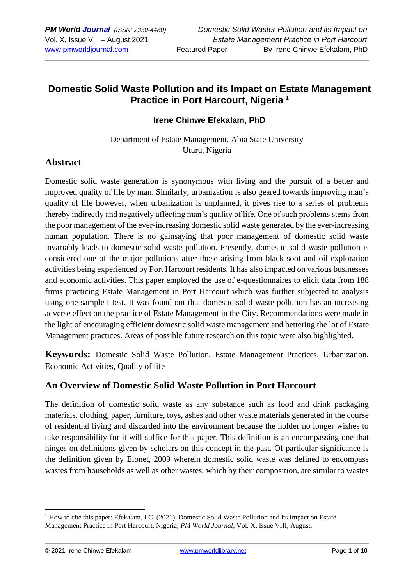## **Domestic Solid Waste Pollution and its Impact on Estate Management Practice in Port Harcourt, Nigeria <sup>1</sup>**

#### **Irene Chinwe Efekalam, PhD**

Department of Estate Management, Abia State University Uturu, Nigeria

#### **Abstract**

Domestic solid waste generation is synonymous with living and the pursuit of a better and improved quality of life by man. Similarly, urbanization is also geared towards improving man's quality of life however, when urbanization is unplanned, it gives rise to a series of problems thereby indirectly and negatively affecting man's quality of life. One of such problems stems from the poor management of the ever-increasing domestic solid waste generated by the ever-increasing human population. There is no gainsaying that poor management of domestic solid waste invariably leads to domestic solid waste pollution. Presently, domestic solid waste pollution is considered one of the major pollutions after those arising from black soot and oil exploration activities being experienced by Port Harcourt residents. It has also impacted on various businesses and economic activities. This paper employed the use of e-questionnaires to elicit data from 188 firms practicing Estate Management in Port Harcourt which was further subjected to analysis using one-sample t-test. It was found out that domestic solid waste pollution has an increasing adverse effect on the practice of Estate Management in the City. Recommendations were made in the light of encouraging efficient domestic solid waste management and bettering the lot of Estate Management practices. Areas of possible future research on this topic were also highlighted.

**Keywords:** Domestic Solid Waste Pollution, Estate Management Practices, Urbanization, Economic Activities, Quality of life

#### **An Overview of Domestic Solid Waste Pollution in Port Harcourt**

The definition of domestic solid waste as any substance such as food and drink packaging materials, clothing, paper, furniture, toys, ashes and other waste materials generated in the course of residential living and discarded into the environment because the holder no longer wishes to take responsibility for it will suffice for this paper. This definition is an encompassing one that hinges on definitions given by scholars on this concept in the past. Of particular significance is the definition given by Eionet, 2009 wherein domestic solid waste was defined to encompass wastes from households as well as other wastes, which by their composition, are similar to wastes

 $<sup>1</sup>$  How to cite this paper: Efekalam, I.C. (2021). Domestic Solid Waste Pollution and its Impact on Estate</sup> Management Practice in Port Harcourt, Nigeria; *PM World Journal*, Vol. X, Issue VIII, August.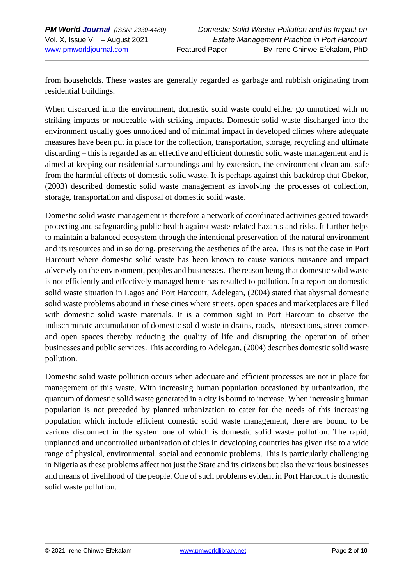from households. These wastes are generally regarded as garbage and rubbish originating from residential buildings.

When discarded into the environment, domestic solid waste could either go unnoticed with no striking impacts or noticeable with striking impacts. Domestic solid waste discharged into the environment usually goes unnoticed and of minimal impact in developed climes where adequate measures have been put in place for the collection, transportation, storage, recycling and ultimate discarding – this is regarded as an effective and efficient domestic solid waste management and is aimed at keeping our residential surroundings and by extension, the environment clean and safe from the harmful effects of domestic solid waste. It is perhaps against this backdrop that Gbekor, (2003) described domestic solid waste management as involving the processes of collection, storage, transportation and disposal of domestic solid waste.

Domestic solid waste management is therefore a network of coordinated activities geared towards protecting and safeguarding public health against waste-related hazards and risks. It further helps to maintain a balanced ecosystem through the intentional preservation of the natural environment and its resources and in so doing, preserving the aesthetics of the area. This is not the case in Port Harcourt where domestic solid waste has been known to cause various nuisance and impact adversely on the environment, peoples and businesses. The reason being that domestic solid waste is not efficiently and effectively managed hence has resulted to pollution. In a report on domestic solid waste situation in Lagos and Port Harcourt, Adelegan, (2004) stated that abysmal domestic solid waste problems abound in these cities where streets, open spaces and marketplaces are filled with domestic solid waste materials. It is a common sight in Port Harcourt to observe the indiscriminate accumulation of domestic solid waste in drains, roads, intersections, street corners and open spaces thereby reducing the quality of life and disrupting the operation of other businesses and public services. This according to Adelegan, (2004) describes domestic solid waste pollution.

Domestic solid waste pollution occurs when adequate and efficient processes are not in place for management of this waste. With increasing human population occasioned by urbanization, the quantum of domestic solid waste generated in a city is bound to increase. When increasing human population is not preceded by planned urbanization to cater for the needs of this increasing population which include efficient domestic solid waste management, there are bound to be various disconnect in the system one of which is domestic solid waste pollution. The rapid, unplanned and uncontrolled urbanization of cities in developing countries has given rise to a wide range of physical, environmental, social and economic problems. This is particularly challenging in Nigeria as these problems affect not just the State and its citizens but also the various businesses and means of livelihood of the people. One of such problems evident in Port Harcourt is domestic solid waste pollution.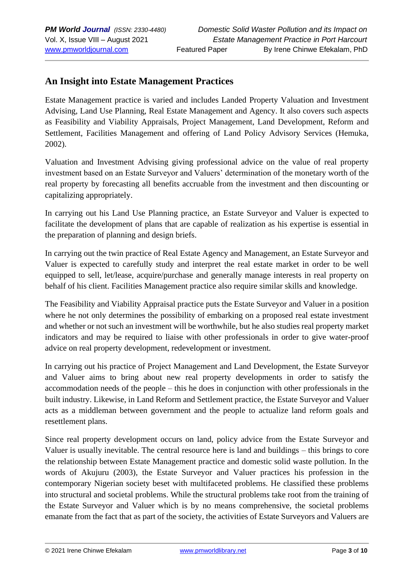### **An Insight into Estate Management Practices**

Estate Management practice is varied and includes Landed Property Valuation and Investment Advising, Land Use Planning, Real Estate Management and Agency. It also covers such aspects as Feasibility and Viability Appraisals, Project Management, Land Development, Reform and Settlement, Facilities Management and offering of Land Policy Advisory Services (Hemuka, 2002).

Valuation and Investment Advising giving professional advice on the value of real property investment based on an Estate Surveyor and Valuers' determination of the monetary worth of the real property by forecasting all benefits accruable from the investment and then discounting or capitalizing appropriately.

In carrying out his Land Use Planning practice, an Estate Surveyor and Valuer is expected to facilitate the development of plans that are capable of realization as his expertise is essential in the preparation of planning and design briefs.

In carrying out the twin practice of Real Estate Agency and Management, an Estate Surveyor and Valuer is expected to carefully study and interpret the real estate market in order to be well equipped to sell, let/lease, acquire/purchase and generally manage interests in real property on behalf of his client. Facilities Management practice also require similar skills and knowledge.

The Feasibility and Viability Appraisal practice puts the Estate Surveyor and Valuer in a position where he not only determines the possibility of embarking on a proposed real estate investment and whether or not such an investment will be worthwhile, but he also studies real property market indicators and may be required to liaise with other professionals in order to give water-proof advice on real property development, redevelopment or investment.

In carrying out his practice of Project Management and Land Development, the Estate Surveyor and Valuer aims to bring about new real property developments in order to satisfy the accommodation needs of the people – this he does in conjunction with other professionals in the built industry. Likewise, in Land Reform and Settlement practice, the Estate Surveyor and Valuer acts as a middleman between government and the people to actualize land reform goals and resettlement plans.

Since real property development occurs on land, policy advice from the Estate Surveyor and Valuer is usually inevitable. The central resource here is land and buildings – this brings to core the relationship between Estate Management practice and domestic solid waste pollution. In the words of Akujuru (2003), the Estate Surveyor and Valuer practices his profession in the contemporary Nigerian society beset with multifaceted problems. He classified these problems into structural and societal problems. While the structural problems take root from the training of the Estate Surveyor and Valuer which is by no means comprehensive, the societal problems emanate from the fact that as part of the society, the activities of Estate Surveyors and Valuers are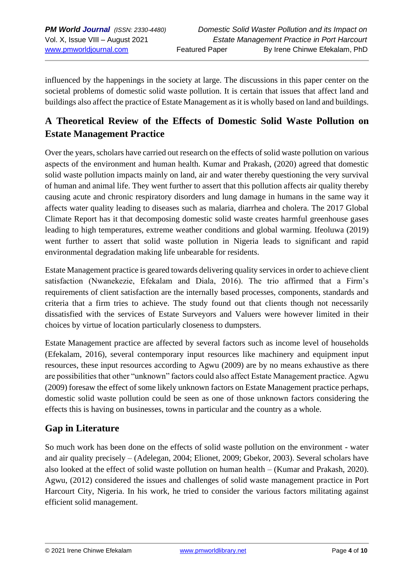influenced by the happenings in the society at large. The discussions in this paper center on the societal problems of domestic solid waste pollution. It is certain that issues that affect land and buildings also affect the practice of Estate Management as it is wholly based on land and buildings.

# **A Theoretical Review of the Effects of Domestic Solid Waste Pollution on Estate Management Practice**

Over the years, scholars have carried out research on the effects of solid waste pollution on various aspects of the environment and human health. Kumar and Prakash, (2020) agreed that domestic solid waste pollution impacts mainly on land, air and water thereby questioning the very survival of human and animal life. They went further to assert that this pollution affects air quality thereby causing acute and chronic respiratory disorders and lung damage in humans in the same way it affects water quality leading to diseases such as malaria, diarrhea and cholera. The 2017 Global Climate Report has it that decomposing domestic solid waste creates harmful greenhouse gases leading to high temperatures, extreme weather conditions and global warming. Ifeoluwa (2019) went further to assert that solid waste pollution in Nigeria leads to significant and rapid environmental degradation making life unbearable for residents.

Estate Management practice is geared towards delivering quality services in order to achieve client satisfaction (Nwanekezie, Efekalam and Diala, 2016). The trio affirmed that a Firm's requirements of client satisfaction are the internally based processes, components, standards and criteria that a firm tries to achieve. The study found out that clients though not necessarily dissatisfied with the services of Estate Surveyors and Valuers were however limited in their choices by virtue of location particularly closeness to dumpsters.

Estate Management practice are affected by several factors such as income level of households (Efekalam, 2016), several contemporary input resources like machinery and equipment input resources, these input resources according to Agwu (2009) are by no means exhaustive as there are possibilities that other "unknown" factors could also affect Estate Management practice. Agwu (2009) foresaw the effect of some likely unknown factors on Estate Management practice perhaps, domestic solid waste pollution could be seen as one of those unknown factors considering the effects this is having on businesses, towns in particular and the country as a whole.

## **Gap in Literature**

So much work has been done on the effects of solid waste pollution on the environment - water and air quality precisely – (Adelegan, 2004; Elionet, 2009; Gbekor, 2003). Several scholars have also looked at the effect of solid waste pollution on human health – (Kumar and Prakash, 2020). Agwu, (2012) considered the issues and challenges of solid waste management practice in Port Harcourt City, Nigeria. In his work, he tried to consider the various factors militating against efficient solid management.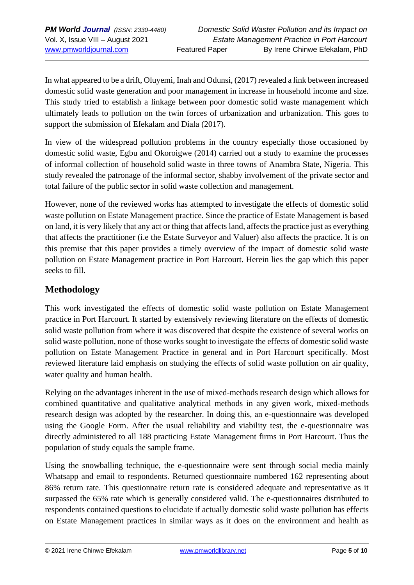In what appeared to be a drift, Oluyemi, Inah and Odunsi, (2017) revealed a link between increased domestic solid waste generation and poor management in increase in household income and size. This study tried to establish a linkage between poor domestic solid waste management which ultimately leads to pollution on the twin forces of urbanization and urbanization. This goes to support the submission of Efekalam and Diala (2017).

In view of the widespread pollution problems in the country especially those occasioned by domestic solid waste, Egbu and Okoroigwe (2014) carried out a study to examine the processes of informal collection of household solid waste in three towns of Anambra State, Nigeria. This study revealed the patronage of the informal sector, shabby involvement of the private sector and total failure of the public sector in solid waste collection and management.

However, none of the reviewed works has attempted to investigate the effects of domestic solid waste pollution on Estate Management practice. Since the practice of Estate Management is based on land, it is very likely that any act or thing that affects land, affects the practice just as everything that affects the practitioner (i.e the Estate Surveyor and Valuer) also affects the practice. It is on this premise that this paper provides a timely overview of the impact of domestic solid waste pollution on Estate Management practice in Port Harcourt. Herein lies the gap which this paper seeks to fill.

## **Methodology**

This work investigated the effects of domestic solid waste pollution on Estate Management practice in Port Harcourt. It started by extensively reviewing literature on the effects of domestic solid waste pollution from where it was discovered that despite the existence of several works on solid waste pollution, none of those works sought to investigate the effects of domestic solid waste pollution on Estate Management Practice in general and in Port Harcourt specifically. Most reviewed literature laid emphasis on studying the effects of solid waste pollution on air quality, water quality and human health.

Relying on the advantages inherent in the use of mixed-methods research design which allows for combined quantitative and qualitative analytical methods in any given work, mixed-methods research design was adopted by the researcher. In doing this, an e-questionnaire was developed using the Google Form. After the usual reliability and viability test, the e-questionnaire was directly administered to all 188 practicing Estate Management firms in Port Harcourt. Thus the population of study equals the sample frame.

Using the snowballing technique, the e-questionnaire were sent through social media mainly Whatsapp and email to respondents. Returned questionnaire numbered 162 representing about 86% return rate. This questionnaire return rate is considered adequate and representative as it surpassed the 65% rate which is generally considered valid. The e-questionnaires distributed to respondents contained questions to elucidate if actually domestic solid waste pollution has effects on Estate Management practices in similar ways as it does on the environment and health as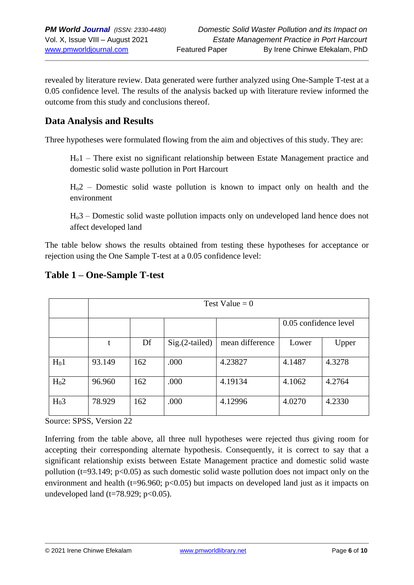revealed by literature review. Data generated were further analyzed using One-Sample T-test at a 0.05 confidence level. The results of the analysis backed up with literature review informed the outcome from this study and conclusions thereof.

## **Data Analysis and Results**

Three hypotheses were formulated flowing from the aim and objectives of this study. They are:

Ho1 – There exist no significant relationship between Estate Management practice and domestic solid waste pollution in Port Harcourt

Ho2 – Domestic solid waste pollution is known to impact only on health and the environment

Ho3 – Domestic solid waste pollution impacts only on undeveloped land hence does not affect developed land

The table below shows the results obtained from testing these hypotheses for acceptance or rejection using the One Sample T-test at a 0.05 confidence level:

|                  | Test Value = $0$ |     |                  |                 |                       |        |
|------------------|------------------|-----|------------------|-----------------|-----------------------|--------|
|                  |                  |     |                  |                 | 0.05 confidence level |        |
|                  | t                | Df  | $Sig.(2-tailed)$ | mean difference | Lower                 | Upper  |
| H <sub>0</sub> 1 | 93.149           | 162 | .000             | 4.23827         | 4.1487                | 4.3278 |
| H <sub>0</sub> 2 | 96.960           | 162 | .000             | 4.19134         | 4.1062                | 4.2764 |
| H <sub>0</sub> 3 | 78.929           | 162 | .000             | 4.12996         | 4.0270                | 4.2330 |

#### **Table 1 – One-Sample T-test**

Source: SPSS, Version 22

Inferring from the table above, all three null hypotheses were rejected thus giving room for accepting their corresponding alternate hypothesis. Consequently, it is correct to say that a significant relationship exists between Estate Management practice and domestic solid waste pollution ( $t=93.149$ ;  $p<0.05$ ) as such domestic solid waste pollution does not impact only on the environment and health (t=96.960;  $p<0.05$ ) but impacts on developed land just as it impacts on undeveloped land ( $t=78.929$ ;  $p<0.05$ ).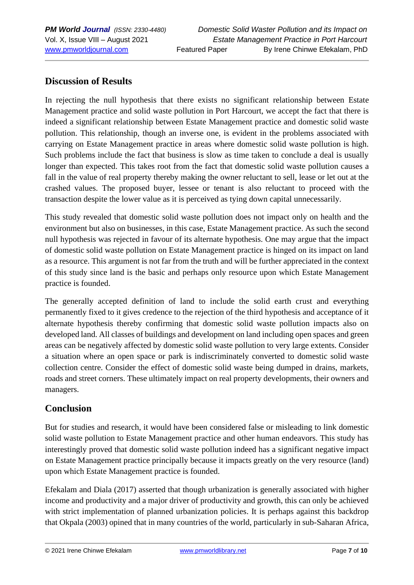## **Discussion of Results**

In rejecting the null hypothesis that there exists no significant relationship between Estate Management practice and solid waste pollution in Port Harcourt, we accept the fact that there is indeed a significant relationship between Estate Management practice and domestic solid waste pollution. This relationship, though an inverse one, is evident in the problems associated with carrying on Estate Management practice in areas where domestic solid waste pollution is high. Such problems include the fact that business is slow as time taken to conclude a deal is usually longer than expected. This takes root from the fact that domestic solid waste pollution causes a fall in the value of real property thereby making the owner reluctant to sell, lease or let out at the crashed values. The proposed buyer, lessee or tenant is also reluctant to proceed with the transaction despite the lower value as it is perceived as tying down capital unnecessarily.

This study revealed that domestic solid waste pollution does not impact only on health and the environment but also on businesses, in this case, Estate Management practice. As such the second null hypothesis was rejected in favour of its alternate hypothesis. One may argue that the impact of domestic solid waste pollution on Estate Management practice is hinged on its impact on land as a resource. This argument is not far from the truth and will be further appreciated in the context of this study since land is the basic and perhaps only resource upon which Estate Management practice is founded.

The generally accepted definition of land to include the solid earth crust and everything permanently fixed to it gives credence to the rejection of the third hypothesis and acceptance of it alternate hypothesis thereby confirming that domestic solid waste pollution impacts also on developed land. All classes of buildings and development on land including open spaces and green areas can be negatively affected by domestic solid waste pollution to very large extents. Consider a situation where an open space or park is indiscriminately converted to domestic solid waste collection centre. Consider the effect of domestic solid waste being dumped in drains, markets, roads and street corners. These ultimately impact on real property developments, their owners and managers.

## **Conclusion**

But for studies and research, it would have been considered false or misleading to link domestic solid waste pollution to Estate Management practice and other human endeavors. This study has interestingly proved that domestic solid waste pollution indeed has a significant negative impact on Estate Management practice principally because it impacts greatly on the very resource (land) upon which Estate Management practice is founded.

Efekalam and Diala (2017) asserted that though urbanization is generally associated with higher income and productivity and a major driver of productivity and growth, this can only be achieved with strict implementation of planned urbanization policies. It is perhaps against this backdrop that Okpala (2003) opined that in many countries of the world, particularly in sub-Saharan Africa,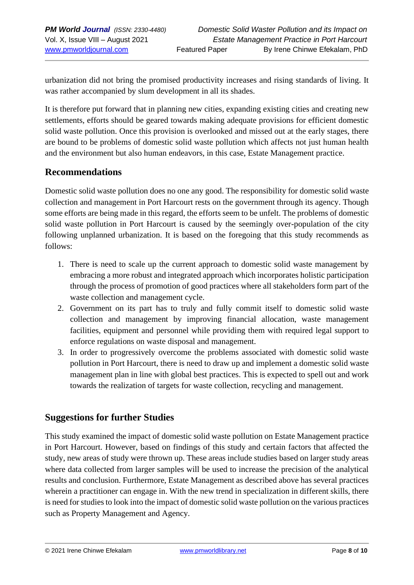urbanization did not bring the promised productivity increases and rising standards of living. It was rather accompanied by slum development in all its shades.

It is therefore put forward that in planning new cities, expanding existing cities and creating new settlements, efforts should be geared towards making adequate provisions for efficient domestic solid waste pollution. Once this provision is overlooked and missed out at the early stages, there are bound to be problems of domestic solid waste pollution which affects not just human health and the environment but also human endeavors, in this case, Estate Management practice.

### **Recommendations**

Domestic solid waste pollution does no one any good. The responsibility for domestic solid waste collection and management in Port Harcourt rests on the government through its agency. Though some efforts are being made in this regard, the efforts seem to be unfelt. The problems of domestic solid waste pollution in Port Harcourt is caused by the seemingly over-population of the city following unplanned urbanization. It is based on the foregoing that this study recommends as follows:

- 1. There is need to scale up the current approach to domestic solid waste management by embracing a more robust and integrated approach which incorporates holistic participation through the process of promotion of good practices where all stakeholders form part of the waste collection and management cycle.
- 2. Government on its part has to truly and fully commit itself to domestic solid waste collection and management by improving financial allocation, waste management facilities, equipment and personnel while providing them with required legal support to enforce regulations on waste disposal and management.
- 3. In order to progressively overcome the problems associated with domestic solid waste pollution in Port Harcourt, there is need to draw up and implement a domestic solid waste management plan in line with global best practices. This is expected to spell out and work towards the realization of targets for waste collection, recycling and management.

#### **Suggestions for further Studies**

This study examined the impact of domestic solid waste pollution on Estate Management practice in Port Harcourt. However, based on findings of this study and certain factors that affected the study, new areas of study were thrown up. These areas include studies based on larger study areas where data collected from larger samples will be used to increase the precision of the analytical results and conclusion. Furthermore, Estate Management as described above has several practices wherein a practitioner can engage in. With the new trend in specialization in different skills, there is need for studies to look into the impact of domestic solid waste pollution on the various practices such as Property Management and Agency.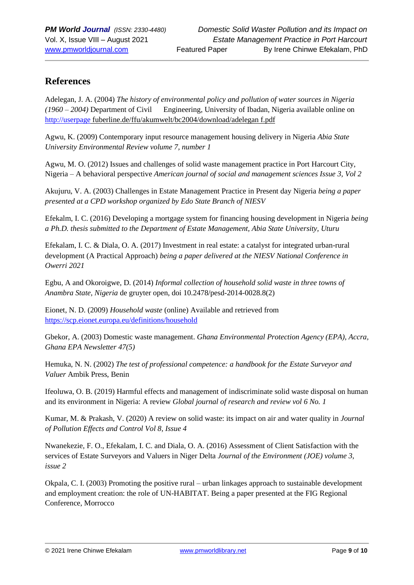### **References**

Adelegan, J. A. (2004) *The history of environmental policy and pollution of water sources in Nigeria (1960 – 2004)* Department of Civil Engineering, University of Ibadan, Nigeria available online on [http://userpage](http://userpage/) fuberline.de/ffu/akumwelt/bc2004/download/adelegan f.pdf

Agwu, K. (2009) Contemporary input resource management housing delivery in Nigeria *Abia State University Environmental Review volume 7, number 1*

Agwu, M. O. (2012) Issues and challenges of solid waste management practice in Port Harcourt City, Nigeria – A behavioral perspective *American journal of social and management sciences Issue 3, Vol 2*

Akujuru, V. A. (2003) Challenges in Estate Management Practice in Present day Nigeria *being a paper presented at a CPD workshop organized by Edo State Branch of NIESV*

Efekalm, I. C. (2016) Developing a mortgage system for financing housing development in Nigeria *being a Ph.D. thesis submitted to the Department of Estate Management, Abia State University, Uturu*

Efekalam, I. C. & Diala, O. A. (2017) Investment in real estate: a catalyst for integrated urban-rural development (A Practical Approach) *being a paper delivered at the NIESV National Conference in Owerri 2021*

Egbu, A and Okoroigwe, D. (2014) *Informal collection of household solid waste in three towns of Anambra State, Nigeria* de gruyter open, doi 10.2478/pesd-2014-0028.8(2)

Eionet, N. D. (2009) *Household waste* (online) Available and retrieved from <https://scp.eionet.europa.eu/definitions/household>

Gbekor, A. (2003) Domestic waste management. *Ghana Environmental Protection Agency (EPA), Accra, Ghana EPA Newsletter 47(5)*

Hemuka, N. N. (2002) *The test of professional competence: a handbook for the Estate Surveyor and Valuer* Ambik Press, Benin

Ifeoluwa, O. B. (2019) Harmful effects and management of indiscriminate solid waste disposal on human and its environment in Nigeria: A review *Global journal of research and review vol 6 No. 1*

Kumar, M. & Prakash, V. (2020) A review on solid waste: its impact on air and water quality in *Journal of Pollution Effects and Control Vol 8, Issue 4*

Nwanekezie, F. O., Efekalam, I. C. and Diala, O. A. (2016) Assessment of Client Satisfaction with the services of Estate Surveyors and Valuers in Niger Delta *Journal of the Environment (JOE) volume 3, issue 2*

Okpala, C. I. (2003) Promoting the positive rural – urban linkages approach to sustainable development and employment creation: the role of UN-HABITAT. Being a paper presented at the FIG Regional Conference, Morrocco